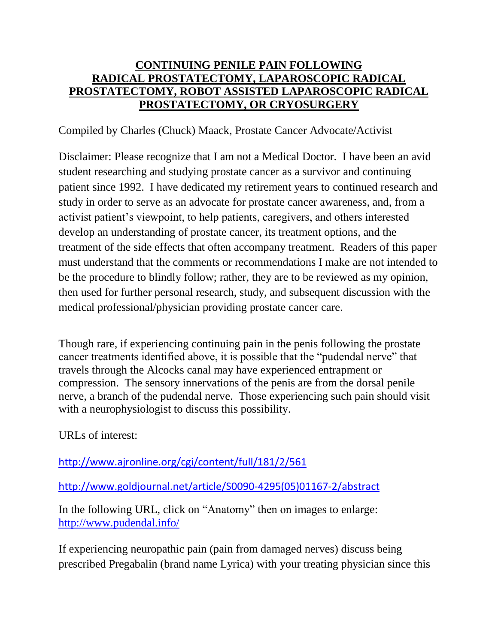## **CONTINUING PENILE PAIN FOLLOWING RADICAL PROSTATECTOMY, LAPAROSCOPIC RADICAL PROSTATECTOMY, ROBOT ASSISTED LAPAROSCOPIC RADICAL PROSTATECTOMY, OR CRYOSURGERY**

## Compiled by Charles (Chuck) Maack, Prostate Cancer Advocate/Activist

Disclaimer: Please recognize that I am not a Medical Doctor. I have been an avid student researching and studying prostate cancer as a survivor and continuing patient since 1992. I have dedicated my retirement years to continued research and study in order to serve as an advocate for prostate cancer awareness, and, from a activist patient's viewpoint, to help patients, caregivers, and others interested develop an understanding of prostate cancer, its treatment options, and the treatment of the side effects that often accompany treatment. Readers of this paper must understand that the comments or recommendations I make are not intended to be the procedure to blindly follow; rather, they are to be reviewed as my opinion, then used for further personal research, study, and subsequent discussion with the medical professional/physician providing prostate cancer care.

Though rare, if experiencing continuing pain in the penis following the prostate cancer treatments identified above, it is possible that the "pudendal nerve" that travels through the Alcocks canal may have experienced entrapment or compression. The sensory innervations of the penis are from the dorsal penile nerve, a branch of the pudendal nerve. Those experiencing such pain should visit with a neurophysiologist to discuss this possibility.

URLs of interest:

<http://www.ajronline.org/cgi/content/full/181/2/561>

[http://www.goldjournal.net/article/S0090-4295\(05\)01167-2/abstract](http://www.goldjournal.net/article/S0090-4295(05)01167-2/abstract)

In the following URL, click on "Anatomy" then on images to enlarge: <http://www.pudendal.info/>

If experiencing neuropathic pain (pain from damaged nerves) discuss being prescribed Pregabalin (brand name Lyrica) with your treating physician since this